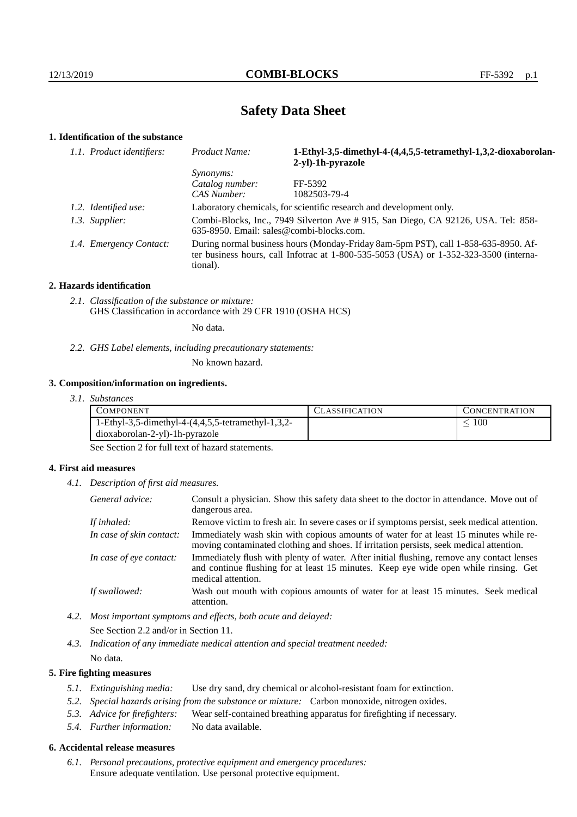# **Safety Data Sheet**

# **1. Identification of the substance**

| 1.1. Product identifiers: | <b>Product Name:</b>                                                                                                                                                                        | 1-Ethyl-3,5-dimethyl-4-(4,4,5,5-tetramethyl-1,3,2-dioxaborolan-<br>2-yl)-1h-pyrazole |
|---------------------------|---------------------------------------------------------------------------------------------------------------------------------------------------------------------------------------------|--------------------------------------------------------------------------------------|
|                           | <i>Synonyms:</i>                                                                                                                                                                            |                                                                                      |
|                           | Catalog number:                                                                                                                                                                             | FF-5392                                                                              |
|                           | CAS Number:                                                                                                                                                                                 | 1082503-79-4                                                                         |
| 1.2. Identified use:      | Laboratory chemicals, for scientific research and development only.                                                                                                                         |                                                                                      |
| 1.3. Supplier:            | Combi-Blocks, Inc., 7949 Silverton Ave # 915, San Diego, CA 92126, USA. Tel: 858-<br>635-8950. Email: sales@combi-blocks.com.                                                               |                                                                                      |
| 1.4. Emergency Contact:   | During normal business hours (Monday-Friday 8am-5pm PST), call 1-858-635-8950. Af-<br>ter business hours, call Infotrac at $1-800-535-5053$ (USA) or $1-352-323-3500$ (interna-<br>tional). |                                                                                      |

## **2. Hazards identification**

*2.1. Classification of the substance or mixture:* GHS Classification in accordance with 29 CFR 1910 (OSHA HCS)

No data.

*2.2. GHS Label elements, including precautionary statements:*

No known hazard.

## **3. Composition/information on ingredients.**

*3.1. Substances*

| COMPONENT                                          | <b>ASSIFICATION</b> | CONCENTRATION |
|----------------------------------------------------|---------------------|---------------|
| 1-Ethyl-3,5-dimethyl-4-(4,4,5,5-tetramethyl-1,3,2- |                     | 100           |
| dioxaborolan-2-yl)-1h-pyrazole                     |                     |               |

See Section 2 for full text of hazard statements.

# **4. First aid measures**

*4.1. Description of first aid measures.*

| General advice:          | Consult a physician. Show this safety data sheet to the doctor in attendance. Move out of<br>dangerous area.                                                                                            |
|--------------------------|---------------------------------------------------------------------------------------------------------------------------------------------------------------------------------------------------------|
| If inhaled:              | Remove victim to fresh air. In severe cases or if symptoms persist, seek medical attention.                                                                                                             |
| In case of skin contact: | Immediately wash skin with copious amounts of water for at least 15 minutes while re-<br>moving contaminated clothing and shoes. If irritation persists, seek medical attention.                        |
| In case of eye contact:  | Immediately flush with plenty of water. After initial flushing, remove any contact lenses<br>and continue flushing for at least 15 minutes. Keep eye wide open while rinsing. Get<br>medical attention. |
| If swallowed:            | Wash out mouth with copious amounts of water for at least 15 minutes. Seek medical<br>attention.                                                                                                        |

*4.2. Most important symptoms and effects, both acute and delayed:* See Section 2.2 and/or in Section 11.

*4.3. Indication of any immediate medical attention and special treatment needed:* No data.

## **5. Fire fighting measures**

- *5.1. Extinguishing media:* Use dry sand, dry chemical or alcohol-resistant foam for extinction.
- *5.2. Special hazards arising from the substance or mixture:* Carbon monoxide, nitrogen oxides.
- *5.3. Advice for firefighters:* Wear self-contained breathing apparatus for firefighting if necessary.
- *5.4. Further information:* No data available.

# **6. Accidental release measures**

*6.1. Personal precautions, protective equipment and emergency procedures:* Ensure adequate ventilation. Use personal protective equipment.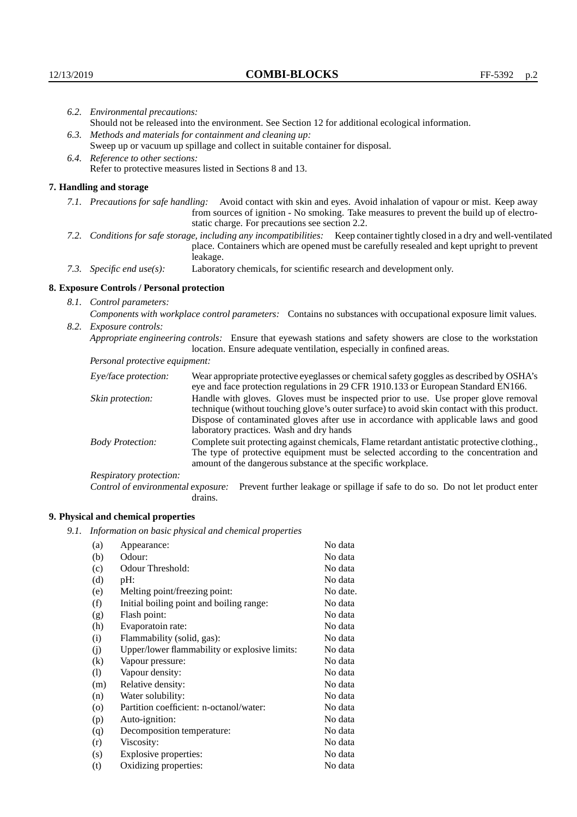|                                                                                                               | 6.2. Environmental precautions:                                                                                                                                                                                                                                    |                                                                                                                                                                                                                                                                                                                        |  |
|---------------------------------------------------------------------------------------------------------------|--------------------------------------------------------------------------------------------------------------------------------------------------------------------------------------------------------------------------------------------------------------------|------------------------------------------------------------------------------------------------------------------------------------------------------------------------------------------------------------------------------------------------------------------------------------------------------------------------|--|
|                                                                                                               |                                                                                                                                                                                                                                                                    | Should not be released into the environment. See Section 12 for additional ecological information.                                                                                                                                                                                                                     |  |
|                                                                                                               | 6.3. Methods and materials for containment and cleaning up:                                                                                                                                                                                                        |                                                                                                                                                                                                                                                                                                                        |  |
|                                                                                                               | Sweep up or vacuum up spillage and collect in suitable container for disposal.                                                                                                                                                                                     |                                                                                                                                                                                                                                                                                                                        |  |
|                                                                                                               | 6.4. Reference to other sections:                                                                                                                                                                                                                                  |                                                                                                                                                                                                                                                                                                                        |  |
|                                                                                                               | Refer to protective measures listed in Sections 8 and 13.                                                                                                                                                                                                          |                                                                                                                                                                                                                                                                                                                        |  |
|                                                                                                               | 7. Handling and storage                                                                                                                                                                                                                                            |                                                                                                                                                                                                                                                                                                                        |  |
|                                                                                                               | 7.1. Precautions for safe handling: Avoid contact with skin and eyes. Avoid inhalation of vapour or mist. Keep away<br>from sources of ignition - No smoking. Take measures to prevent the build up of electro-<br>static charge. For precautions see section 2.2. |                                                                                                                                                                                                                                                                                                                        |  |
|                                                                                                               |                                                                                                                                                                                                                                                                    | 7.2. Conditions for safe storage, including any incompatibilities: Keep container tightly closed in a dry and well-ventilated<br>place. Containers which are opened must be carefully resealed and kept upright to prevent<br>leakage.                                                                                 |  |
|                                                                                                               | 7.3. Specific end use(s):                                                                                                                                                                                                                                          | Laboratory chemicals, for scientific research and development only.                                                                                                                                                                                                                                                    |  |
|                                                                                                               | 8. Exposure Controls / Personal protection                                                                                                                                                                                                                         |                                                                                                                                                                                                                                                                                                                        |  |
|                                                                                                               | 8.1. Control parameters:                                                                                                                                                                                                                                           |                                                                                                                                                                                                                                                                                                                        |  |
| Components with workplace control parameters: Contains no substances with occupational exposure limit values. |                                                                                                                                                                                                                                                                    |                                                                                                                                                                                                                                                                                                                        |  |
|                                                                                                               | 8.2. Exposure controls:                                                                                                                                                                                                                                            |                                                                                                                                                                                                                                                                                                                        |  |
|                                                                                                               |                                                                                                                                                                                                                                                                    | Appropriate engineering controls: Ensure that eyewash stations and safety showers are close to the workstation<br>location. Ensure adequate ventilation, especially in confined areas.                                                                                                                                 |  |
|                                                                                                               | Personal protective equipment:                                                                                                                                                                                                                                     |                                                                                                                                                                                                                                                                                                                        |  |
|                                                                                                               | Eye/face protection:                                                                                                                                                                                                                                               | Wear appropriate protective eyeglasses or chemical safety goggles as described by OSHA's<br>eye and face protection regulations in 29 CFR 1910.133 or European Standard EN166.                                                                                                                                         |  |
|                                                                                                               | Skin protection:                                                                                                                                                                                                                                                   | Handle with gloves. Gloves must be inspected prior to use. Use proper glove removal<br>technique (without touching glove's outer surface) to avoid skin contact with this product.<br>Dispose of contaminated gloves after use in accordance with applicable laws and good<br>laboratory practices. Wash and dry hands |  |
|                                                                                                               | <b>Body Protection:</b>                                                                                                                                                                                                                                            | Complete suit protecting against chemicals, Flame retardant antistatic protective clothing.,<br>The type of protective equipment must be selected according to the concentration and<br>amount of the dangerous substance at the specific workplace.                                                                   |  |
|                                                                                                               | Respiratory protection:                                                                                                                                                                                                                                            |                                                                                                                                                                                                                                                                                                                        |  |
|                                                                                                               |                                                                                                                                                                                                                                                                    |                                                                                                                                                                                                                                                                                                                        |  |

Control of environmental exposure: Prevent further leakage or spillage if safe to do so. Do not let product enter drains.

# **9. Physical and chemical properties**

*9.1. Information on basic physical and chemical properties*

| (a)      | Appearance:                                   | No data  |
|----------|-----------------------------------------------|----------|
| (b)      | Odour:                                        | No data  |
| (c)      | Odour Threshold:                              | No data  |
| (d)      | pH:                                           | No data  |
| (e)      | Melting point/freezing point:                 | No date. |
| (f)      | Initial boiling point and boiling range:      | No data  |
| (g)      | Flash point:                                  | No data  |
| (h)      | Evaporatoin rate:                             | No data  |
| (i)      | Flammability (solid, gas):                    | No data  |
| (j)      | Upper/lower flammability or explosive limits: | No data  |
| $\rm(k)$ | Vapour pressure:                              | No data  |
| (1)      | Vapour density:                               | No data  |
| (m)      | Relative density:                             | No data  |
| (n)      | Water solubility:                             | No data  |
| (0)      | Partition coefficient: n-octanol/water:       | No data  |
| (p)      | Auto-ignition:                                | No data  |
| (q)      | Decomposition temperature:                    | No data  |
| (r)      | Viscosity:                                    | No data  |
| (s)      | Explosive properties:                         | No data  |
| (t)      | Oxidizing properties:                         | No data  |